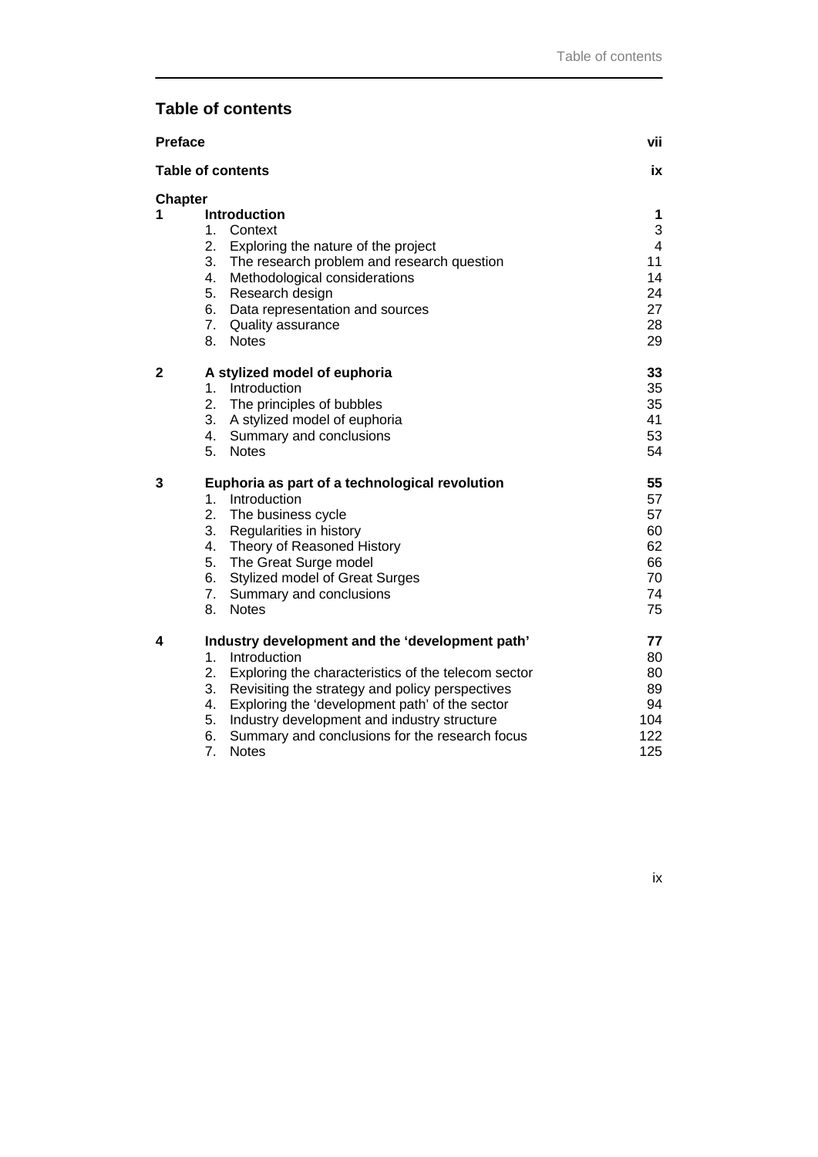## **Table of contents**

| <b>Preface</b>           |                                                           | vii                     |
|--------------------------|-----------------------------------------------------------|-------------------------|
| <b>Table of contents</b> |                                                           |                         |
| <b>Chapter</b>           |                                                           |                         |
| 1                        | <b>Introduction</b>                                       | 1                       |
|                          | 1.<br>Context                                             | 3                       |
|                          | 2.<br>Exploring the nature of the project                 | $\overline{\mathbf{4}}$ |
|                          | 3. The research problem and research question             | 11                      |
|                          | 4.<br>Methodological considerations                       | 14<br>24                |
|                          | 5. Research design<br>6. Data representation and sources  | 27                      |
|                          | 7. Quality assurance                                      | 28                      |
|                          | 8.<br><b>Notes</b>                                        | 29                      |
|                          |                                                           |                         |
| $\mathbf{2}$             | A stylized model of euphoria                              | 33                      |
|                          | $1_{\cdot}$<br>Introduction                               | 35                      |
|                          | 2.<br>The principles of bubbles                           | 35                      |
|                          | 3.<br>A stylized model of euphoria                        | 41                      |
|                          | 4.<br>Summary and conclusions                             | 53                      |
|                          | 5.<br><b>Notes</b>                                        | 54                      |
| 3                        | Euphoria as part of a technological revolution            | 55                      |
|                          | 1.<br>Introduction                                        | 57                      |
|                          | 2.<br>The business cycle                                  | 57                      |
|                          | 3. Regularities in history                                | 60                      |
|                          | 4. Theory of Reasoned History                             | 62                      |
|                          | 5. The Great Surge model                                  | 66                      |
|                          | 6.<br><b>Stylized model of Great Surges</b>               | 70                      |
|                          | 7.<br>Summary and conclusions                             | 74                      |
|                          | <b>Notes</b><br>8.                                        | 75                      |
| 4                        | Industry development and the 'development path'           | 77                      |
|                          | 1 <sub>1</sub><br>Introduction                            | 80                      |
|                          | 2.<br>Exploring the characteristics of the telecom sector | 80                      |
|                          | 3.<br>Revisiting the strategy and policy perspectives     | 89                      |
|                          | Exploring the 'development path' of the sector<br>4.      | 94                      |
|                          | 5.<br>Industry development and industry structure         | 104                     |
|                          | 6.<br>Summary and conclusions for the research focus      | 122                     |
|                          | 7.<br><b>Notes</b>                                        | 125                     |

ix and in the state of the state of the state of the state of the state of the state of the state of the state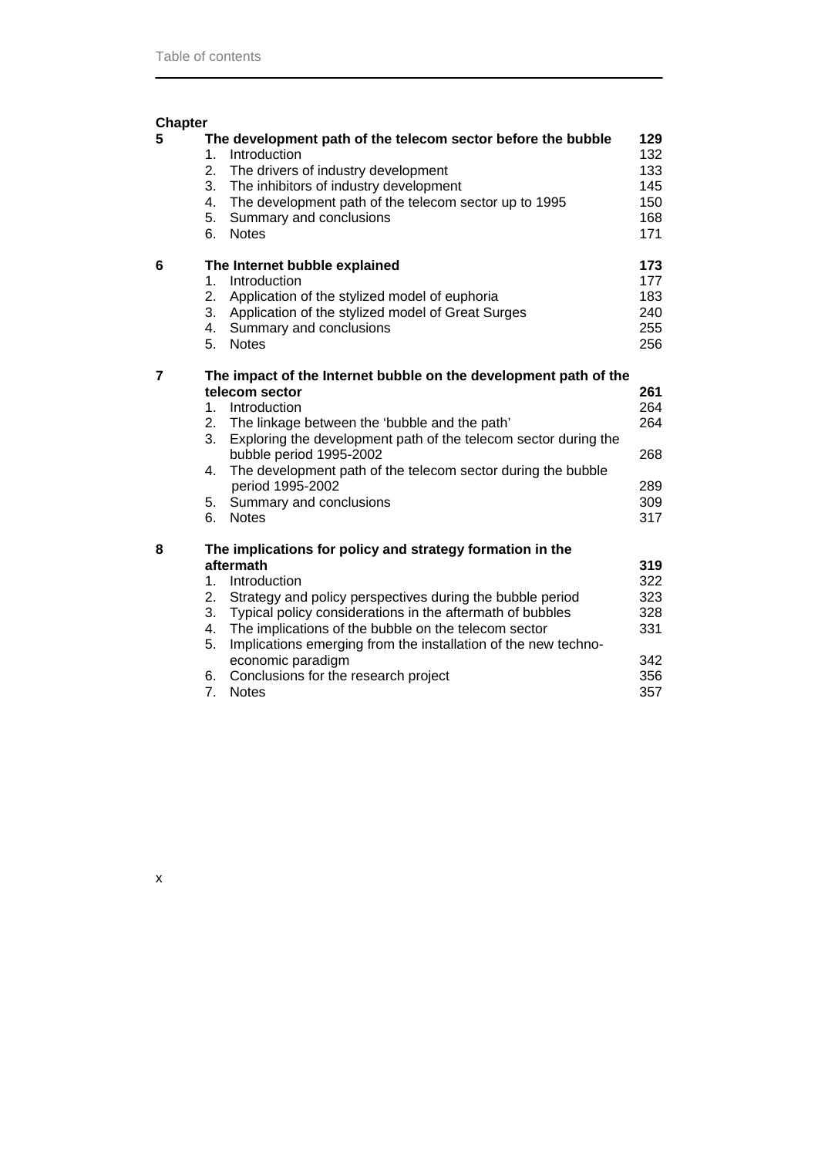| <b>Chapter</b> |                                        |                                                                                                                                                                                                                                                                                                                                                                                                                         |                                                      |
|----------------|----------------------------------------|-------------------------------------------------------------------------------------------------------------------------------------------------------------------------------------------------------------------------------------------------------------------------------------------------------------------------------------------------------------------------------------------------------------------------|------------------------------------------------------|
| 5              | 1.<br>2.<br>3.<br>4.<br>5.<br>6.       | The development path of the telecom sector before the bubble<br>Introduction<br>The drivers of industry development<br>The inhibitors of industry development<br>The development path of the telecom sector up to 1995<br>Summary and conclusions<br><b>Notes</b>                                                                                                                                                       | 129<br>132<br>133<br>145<br>150<br>168<br>171        |
| 6              | 1.<br>2.<br>3.<br>4.<br>5.             | The Internet bubble explained<br>Introduction<br>Application of the stylized model of euphoria<br>Application of the stylized model of Great Surges<br>Summary and conclusions<br><b>Notes</b>                                                                                                                                                                                                                          | 173<br>177<br>183<br>240<br>255<br>256               |
| 7              | $1_{-}$<br>2.<br>3.<br>4.<br>5.<br>6.  | The impact of the Internet bubble on the development path of the<br>telecom sector<br>Introduction<br>The linkage between the 'bubble and the path'<br>Exploring the development path of the telecom sector during the<br>bubble period 1995-2002<br>The development path of the telecom sector during the bubble<br>period 1995-2002<br>Summary and conclusions<br><b>Notes</b>                                        | 261<br>264<br>264<br>268<br>289<br>309<br>317        |
| 8              | 1.<br>2.<br>3.<br>4.<br>5.<br>6.<br>7. | The implications for policy and strategy formation in the<br>aftermath<br>Introduction<br>Strategy and policy perspectives during the bubble period<br>Typical policy considerations in the aftermath of bubbles<br>The implications of the bubble on the telecom sector<br>Implications emerging from the installation of the new techno-<br>economic paradigm<br>Conclusions for the research project<br><b>Notes</b> | 319<br>322<br>323<br>328<br>331<br>342<br>356<br>357 |

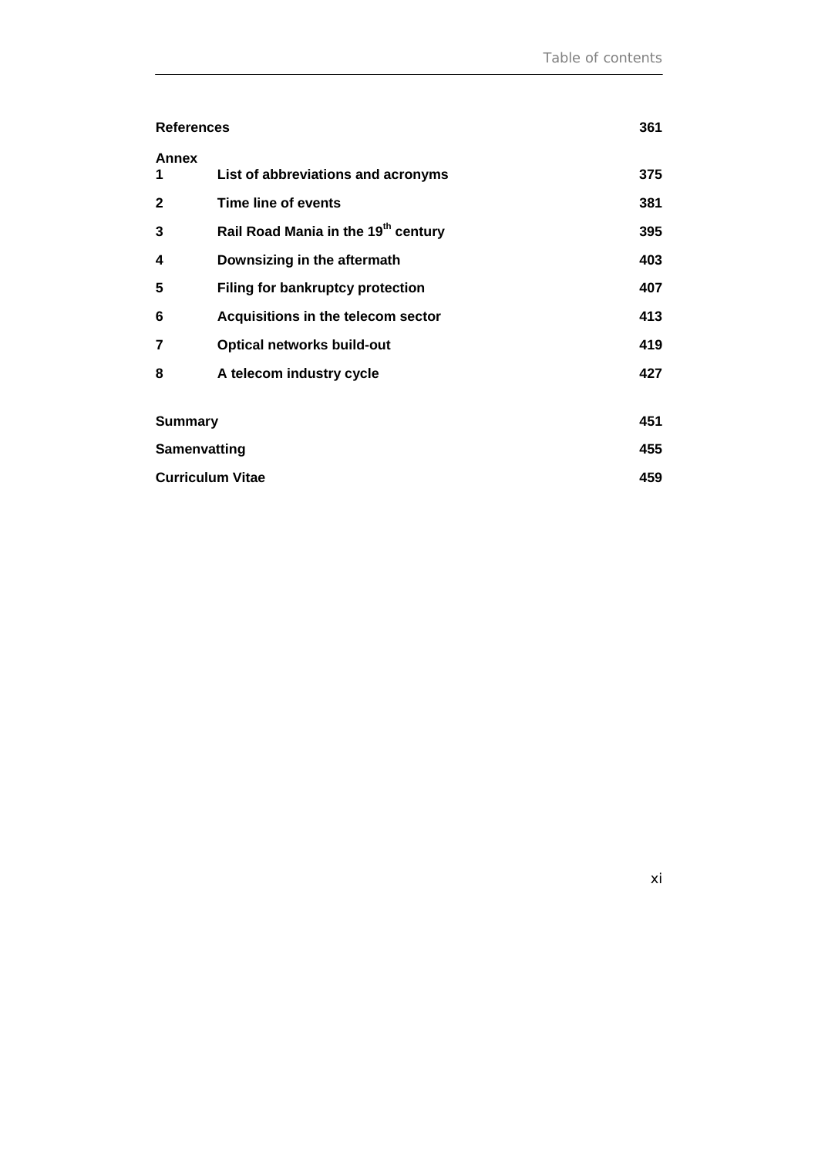| <b>References</b>       |                                         | 361 |
|-------------------------|-----------------------------------------|-----|
| <b>Annex</b><br>1       | List of abbreviations and acronyms      | 375 |
| 2                       | Time line of events                     | 381 |
| 3                       | Rail Road Mania in the 19th century     | 395 |
| 4                       | Downsizing in the aftermath             | 403 |
| 5                       | <b>Filing for bankruptcy protection</b> | 407 |
| 6                       | Acquisitions in the telecom sector      | 413 |
| 7                       | <b>Optical networks build-out</b>       | 419 |
| 8                       | A telecom industry cycle                | 427 |
|                         |                                         |     |
| <b>Summary</b>          |                                         | 451 |
| Samenvatting            |                                         | 455 |
| <b>Curriculum Vitae</b> |                                         | 459 |

xi